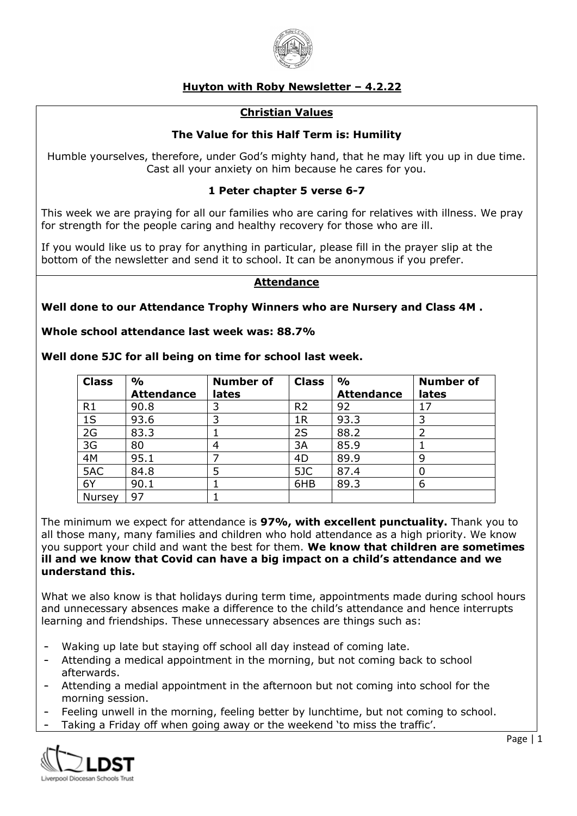

# **Huyton with Roby Newsletter – 4.2.22**

## **Christian Values**

# **The Value for this Half Term is: Humility**

Humble yourselves, therefore, under God's mighty hand, that he may lift you up in due time. Cast all your anxiety on him because he cares for you.

## **1 Peter chapter 5 verse 6-7**

This week we are praying for all our families who are caring for relatives with illness. We pray for strength for the people caring and healthy recovery for those who are ill.

If you would like us to pray for anything in particular, please fill in the prayer slip at the bottom of the newsletter and send it to school. It can be anonymous if you prefer.

### **Attendance**

### **Well done to our Attendance Trophy Winners who are Nursery and Class 4M .**

### **Whole school attendance last week was: 88.7%**

**Well done 5JC for all being on time for school last week.** 

| <b>Class</b>   | $\frac{0}{0}$<br><b>Attendance</b> | <b>Number of</b><br>lates | <b>Class</b>   | $\frac{0}{0}$<br><b>Attendance</b> | <b>Number of</b><br>lates |
|----------------|------------------------------------|---------------------------|----------------|------------------------------------|---------------------------|
| R <sub>1</sub> | 90.8                               |                           | R <sub>2</sub> | 92                                 |                           |
| 1S             | 93.6                               | っ                         | 1 <sub>R</sub> | 93.3                               | 3                         |
| 2G             | 83.3                               |                           | 2S             | 88.2                               |                           |
| 3G             | 80                                 | 4                         | 3A             | 85.9                               |                           |
| 4M             | 95.1                               |                           | 4D             | 89.9                               | 9                         |
| 5AC            | 84.8                               | 5                         | 5JC            | 87.4                               | 0                         |
| 6Y             | 90.1                               |                           | 6HB            | 89.3                               | 6                         |
| Nursey         | 97                                 |                           |                |                                    |                           |

The minimum we expect for attendance is **97%, with excellent punctuality.** Thank you to all those many, many families and children who hold attendance as a high priority. We know you support your child and want the best for them. **We know that children are sometimes ill and we know that Covid can have a big impact on a child's attendance and we understand this.**

What we also know is that holidays during term time, appointments made during school hours and unnecessary absences make a difference to the child's attendance and hence interrupts learning and friendships. These unnecessary absences are things such as:

- Waking up late but staying off school all day instead of coming late.
- Attending a medical appointment in the morning, but not coming back to school afterwards.
- Attending a medial appointment in the afternoon but not coming into school for the morning session.
- Feeling unwell in the morning, feeling better by lunchtime, but not coming to school.
- Taking a Friday off when going away or the weekend 'to miss the traffic'.

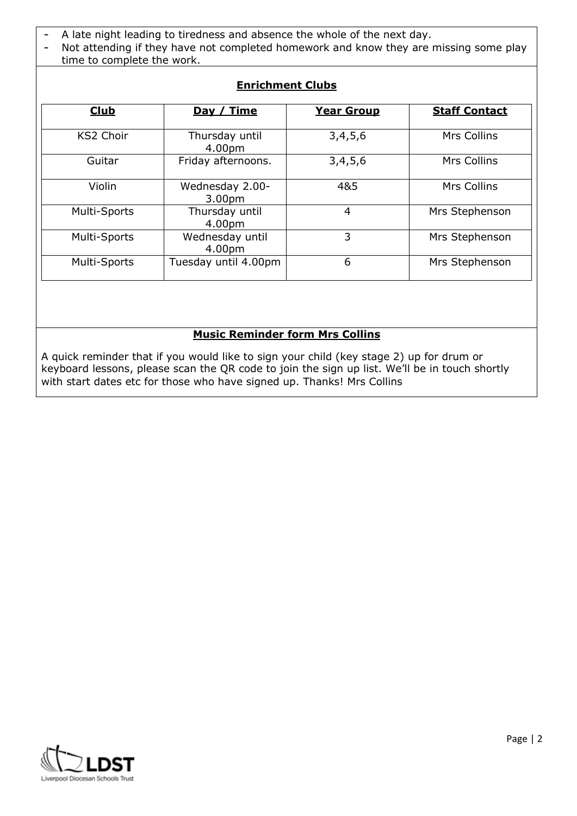- A late night leading to tiredness and absence the whole of the next day.
- Not attending if they have not completed homework and know they are missing some play time to complete the work.

| <b>Club</b>      | Day / Time                            | <b>Year Group</b> | <b>Staff Contact</b> |
|------------------|---------------------------------------|-------------------|----------------------|
| <b>KS2 Choir</b> | Thursday until<br>4.00pm              | 3,4,5,6           | Mrs Collins          |
| Guitar           | Friday afternoons.                    | 3,4,5,6           | Mrs Collins          |
| Violin           | Wednesday 2.00-<br>3.00 <sub>pm</sub> | 4&5               | Mrs Collins          |
| Multi-Sports     | Thursday until<br>4.00pm              | $\overline{4}$    | Mrs Stephenson       |
| Multi-Sports     | Wednesday until<br>4.00pm             | 3                 | Mrs Stephenson       |
| Multi-Sports     | Tuesday until 4.00pm                  | 6                 | Mrs Stephenson       |

# **Enrichment Clubs**

# **Music Reminder form Mrs Collins**

A quick reminder that if you would like to sign your child (key stage 2) up for drum or keyboard lessons, please scan the QR code to join the sign up list. We'll be in touch shortly with start dates etc for those who have signed up. Thanks! Mrs Collins

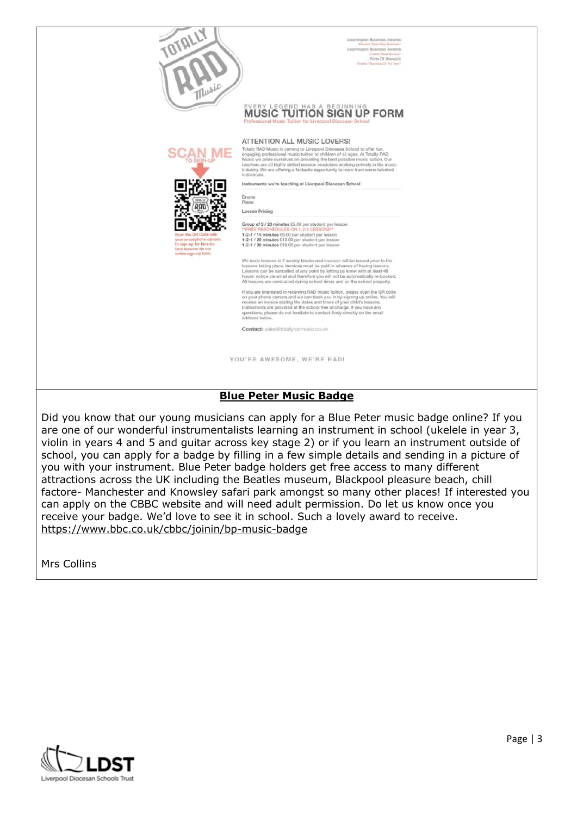

We are That New Thursday

# **MUSIC TUITION SIGN UP FORM**

**ATTENTION ALL MUSIC LOVERS!** 



Totally RAD Music is coming to Liverpool Diocesan School to offer fun,<br>engaging professional music tuition to children of all ages. At Totally RAD<br>Music we pride ourselves on providing the best possible music tuition. On n. Ou teachers are all highly skilled session musicians working actively in the must industry. We are offering a fantastic opportunity to learn from some talented individu

Instruments we're teaching at Liverpool Diocesan School

Drums<br>Piano

**Lesson Pricing** 

Group of 3 / 20 minutes £5.00 per student per lesson<br>"FREE RESCHEDULES ON 1-2-1 LESSONS"<br>1-2-1 / 15 minutes £9.00 per student per lesson<br>1-2-1 / 20 minutes £12.00 per student per lesson<br>1-2-1 / 30 minutes £18.00 per studen

We book lessons in 7 weekly blocks and invoices will be is We book tessons in 7 weeny plocks and myolocs will be issued prior to the<br>lessons taking place. Invoices must be paid in advance of having lessons.<br>Lessons can be cancelled at any point by letting us know with at least 48<br>

All ressons are conducted during school times and on the school property.<br>If you are interested in receiving RAD music tuition, please scan the QR code<br>on your phone camera and we can book you in by signing up collier. You

Contact: sales@totallyradmusic.co.uk

YOU'RE AWESOME, WE'RE RAD!

### **Blue Peter Music Badge**

Did you know that our young musicians can apply for a Blue Peter music badge online? If you are one of our wonderful instrumentalists learning an instrument in school (ukelele in year 3, violin in years 4 and 5 and guitar across key stage 2) or if you learn an instrument outside of school, you can apply for a badge by filling in a few simple details and sending in a picture of you with your instrument. Blue Peter badge holders get free access to many different attractions across the UK including the Beatles museum, Blackpool pleasure beach, chill factore- Manchester and Knowsley safari park amongst so many other places! If interested you can apply on the CBBC website and will need adult permission. Do let us know once you receive your badge. We'd love to see it in school. Such a lovely award to receive. <https://www.bbc.co.uk/cbbc/joinin/bp-music-badge>

Mrs Collins

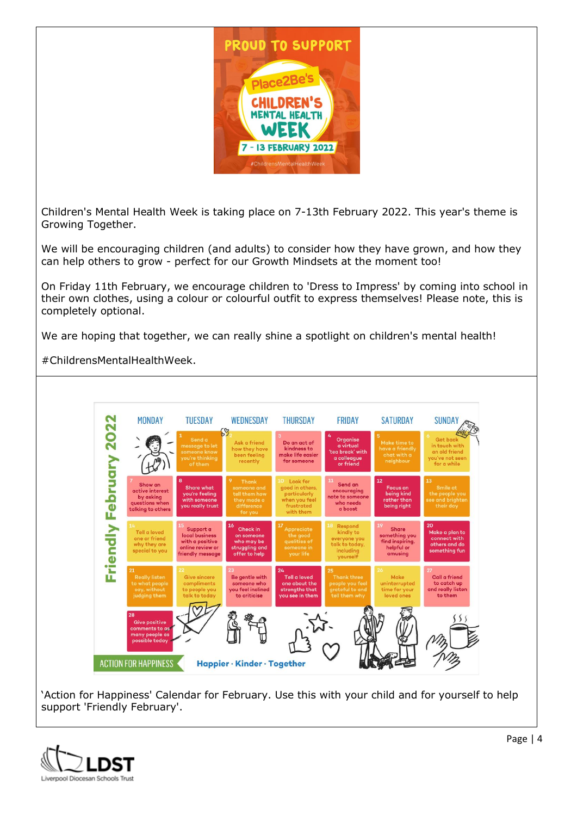

Children's Mental Health Week is taking place on 7-13th February 2022. This year's theme is Growing Together.

We will be encouraging children (and adults) to consider how they have grown, and how they can help others to grow - perfect for our Growth Mindsets at the moment too!

On Friday 11th February, we encourage children to 'Dress to Impress' by coming into school in their own clothes, using a colour or colourful outfit to express themselves! Please note, this is completely optional.

We are hoping that together, we can really shine a spotlight on children's mental health!

#ChildrensMentalHealthWeek.



'Action for Happiness' Calendar for February. Use this with your child and for yourself to help support 'Friendly February'.

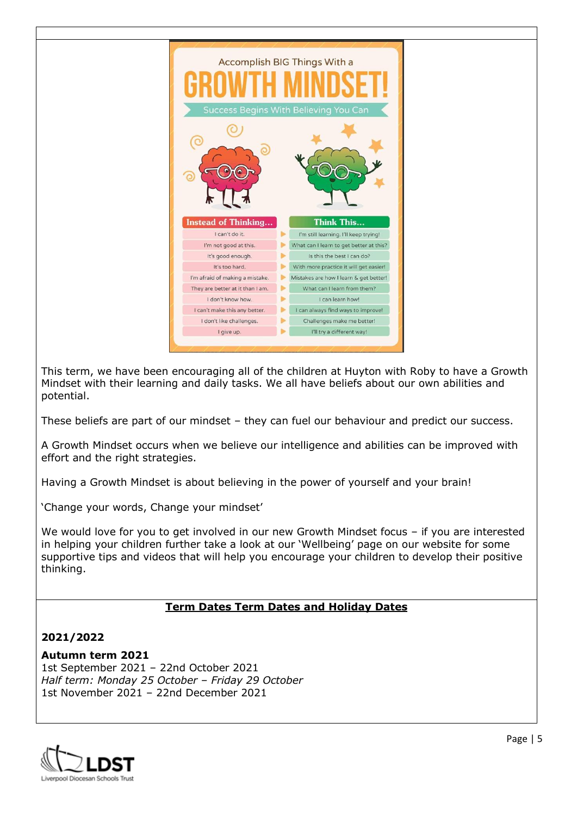

This term, we have been encouraging all of the children at Huyton with Roby to have a Growth Mindset with their learning and daily tasks. We all have beliefs about our own abilities and potential.

These beliefs are part of our mindset – they can fuel our behaviour and predict our success.

A Growth Mindset occurs when we believe our intelligence and abilities can be improved with effort and the right strategies.

Having a Growth Mindset is about believing in the power of yourself and your brain!

'Change your words, Change your mindset'

We would love for you to get involved in our new Growth Mindset focus – if you are interested in helping your children further take a look at our 'Wellbeing' page on our website for some supportive tips and videos that will help you encourage your children to develop their positive thinking.

## **Term Dates Term Dates and Holiday Dates**

## **2021/2022**

### **Autumn term 2021**

1st September 2021 – 22nd October 2021 *Half term: Monday 25 October – Friday 29 October* 1st November 2021 – 22nd December 2021